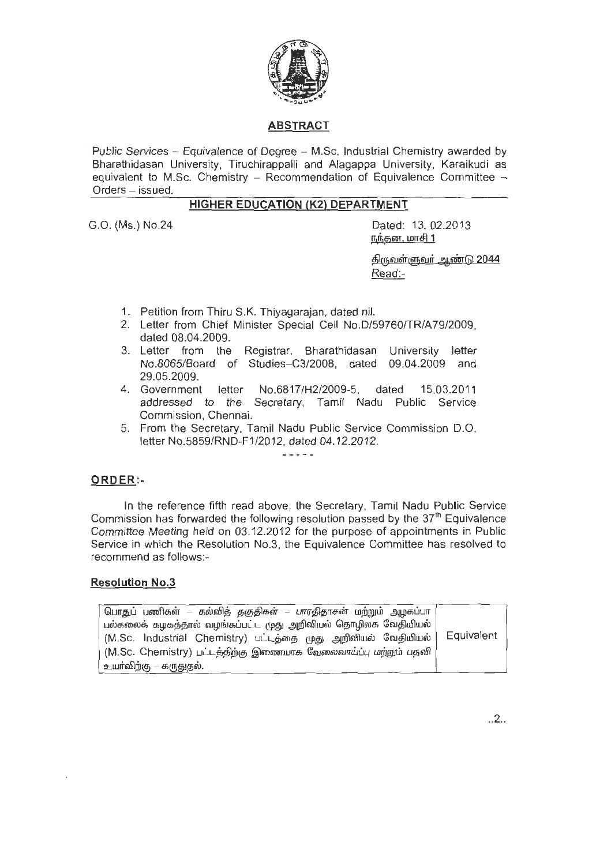

### **ABSTRACT**

Public Services - Equivalence of Degree - M.Sc. Industrial Chemistry awarded by Bharathidasan University, Tiruchirappalli and Alagappa University, Karaikudi as equivalent to M.Sc. Chemistry - Recommendation of Equivalence Committee  $-$ Orders - issued.

# **HIGHER EDUCATION (K2) DEPARTMENT**

G.O. (Ms.) No.24

Dated: 13. 02.2013 நந்தன, மாசி 1

<u>திருவள்ளுவர் ஆண்டு 2044</u> Read:-

- 1. Petition from Thiru S.K. Thiyagarajan, dated nil.
- 2. Letter from Chief Minister Special Cell No.D/59760/TR/A79/2009, dated 08.04.2009.
- 3. Letter from the Registrar, Bharathidasan University letter No.8065/Board of Studies-C3/2008, dated 09.04.2009 and 29.05.2009.<br>4. Government
- letter No.6817/H2/2009-5, dated 15.03.2011 addressed to the Secretary, Tamil Nadu Public Service Commission, Chennai.
- 5. From the Secretary, Tamil Nadu Public Service Commission D.O. letter No.5859/RND-F1/2012, dated 04.12.2012.

Albania de la

### **ORDER :-**

In the reference fifth read above, the Secretary, Tamil Nadu Public Service Commission has forwarded the following resolution passed by the  $37<sup>th</sup>$  Equivalence Committee Meeting held on 03.12.2012 for the purpose of appointments in Public Service in which the Resolution No.3, the Equivalence Committee has resolved to recommend as follows:-

#### **Resolution No.3**

| பொதுப் பணிகள் – கல்வித் தகுதிகள் – பாரதிதாசன் மற்றும் அழகப்பா   |            |
|-----------------------------------------------------------------|------------|
| பல்கலைக் கழகத்தால் வழங்கப்பட்ட முது அறிவியல் தொழிலக வேதியியல்   |            |
| (M.Sc. Industrial Chemistry) பட்டத்தை முது அறிவியல் வேதியியல்   | Equivalent |
| (M.Sc. Chemistry) பட்டத்திற்கு இணையாக வேலைவாய்ப்பு மற்றும் பதவி |            |
| <sub> </sub> உயாவிற்கு — கருதுதல்.                              |            |